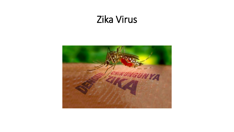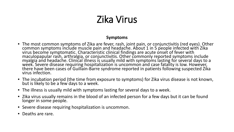#### **Symptoms**

- The most common symptoms of Zika are fever, rash, joint pain, or conjunctivitis (red eyes). Other common symptoms include muscle pain and headache. About 1 in 5 people infected with Zika virus become symptomatic. Characteristic clinical findings are acute onset of fever with maculopapular rash, arthralgia, or conjunctivitis. Other commonly reported symptoms include<br>myalgia and headache. Clinical illness is usually mild with symptoms lasting for several days to a week. Severe disease requiring hospitalization is uncommon and case fatality is low. However, there have been cases of Guillain-Barre syndrome reported in patients following suspected Zika virus infection.
- The incubation period (the time from exposure to symptoms) for Zika virus disease is not known, but is likely to be a few days to a week.
- The illness is usually mild with symptoms lasting for several days to a week.
- Zika virus usually remains in the blood of an infected person for a few days but it can be found longer in some people.
- Severe disease requiring hospitalization is uncommon.
- Deaths are rare.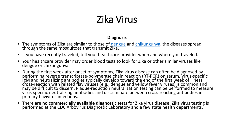### **Diagnosis**

- The symptoms of Zika are similar to those of [dengue](http://www.cdc.gov/dengue/) and [chikungunya](http://www.cdc.gov/chikungunya/index.html), the diseases spread through the same mosquitoes that transmit Zika.
- If you have recently traveled, tell your healthcare provider when and where you traveled.
- Your healthcare provider may order blood tests to look for Zika or other similar viruses like dengue or chikungunya.
- During the first week after onset of symptoms, Zika virus disease can often be diagnosed by<br>performing reverse transcriptase-polymerase chain reaction (RT-PCR) on serum. Virus-specific<br>IgM and neutralizing antibodies typic cross-reaction with related flaviviruses (e.g., dengue and yellow fever viruses) is common and may be difficult to discern. Plaque-reduction neutralization testing can be performed to measure virus-specific neutralizing antibodies and discriminate between cross-reacting antibodies in primary flavivirus infections.
- There are **no commercially available diagnostic tests** for Zika virus disease. Zika virus testing is performed at the CDC Arbovirus Diagnostic Laboratory and a few state health departments.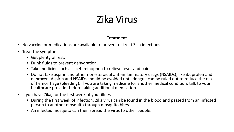#### **Treatment**

- No vaccine or medications are available to prevent or treat Zika infections.
- Treat the symptoms:
	- Get plenty of rest.
	- Drink fluids to prevent dehydration.
	- Take medicine such as acetaminophen to relieve fever and pain.
	- Do not take aspirin and other non-steroidal anti-inflammatory drugs (NSAIDs), like ibuprofen and naproxen. Aspirin and NSAIDs should be avoided until dengue can be ruled out to reduce the risk of hemorrhage (bleeding). If you are taking medicine for another medical condition, talk to your healthcare provider before taking additional medication.
- If you have Zika, for the first week of your illness.
	- During the first week of infection, Zika virus can be found in the blood and passed from an infected person to another mosquito through mosquito bites.
	- An infected mosquito can then spread the virus to other people.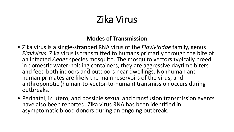### **Modes of Transmission**

- Zika virus is a single-stranded RNA virus of the *Flaviviridae* family, genus *Flavivirus*. Zika virus is transmitted to humans primarily through the bite of an infected *Aedes* species mosquito. The mosquito vectors typically breed in domestic water-holding containers; they are aggressive daytime biters and feed both indoors and outdoors near dwellings. Nonhuman and human primates are likely the main reservoirs of the virus, and anthroponotic (human-to-vector-to-human) transmission occurs during outbreaks.
- Perinatal, in utero, and possible sexual and transfusion transmission events have also been reported. Zika virus RNA has been identified in asymptomatic blood donors during an ongoing outbreak.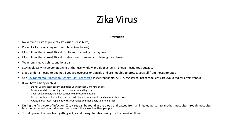#### **Prevention**

- No vaccine exists to prevent Zika virus disease (Zika).
- Prevent Zika by avoiding mosquito bites (see below).
- Mosquitoes that spread Zika virus bite mostly during the daytime.
- Mosquitoes that spread Zika virus also spread dengue and chikungunya viruses.
- Wear long-sleeved shirts and long pants.
- Stay in places with air conditioning or that use window and door screens to keep mosquitoes outside.
- Sleep under a mosquito bed net if you are overseas or outside and are not able to protect yourself from mosquito bites.
- Use [Environmental Protection Agency \(EPA\)-registered](http://www.epa.gov/insect-repellents/find-insect-repellent-right-you) insect repellents. All EPA-registered insect repellents are evaluated for effectiveness.
- If you have a baby or child:
	- Do not use insect repellent on babies younger than 2 months of age.
	- Dress your child in clothing that covers arms and legs, or
	- Cover crib, stroller, and baby carrier with mosquito netting.
	- Do not apply insect repellent onto a child's hands, eyes, mouth, and cut or irritated skin.
	- Adults: Spray insect repellent onto your hands and then apply to a child's face.
- During the first week of infection, Zika virus can be found in the blood and passed from an infected person to another mosquito through mosquito<br>bites. An infected mosquito can then spread the virus to other people.
- To help prevent others from getting sick, avoid mosquito bites during the first week of illness.